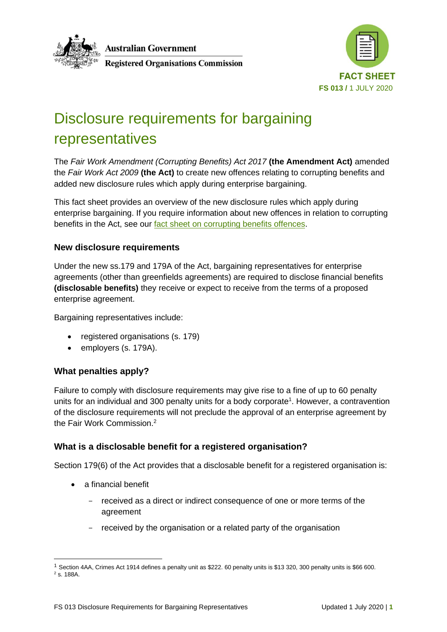

**Australian Government** 

**Registered Organisations Commission** 



# Disclosure requirements for bargaining representatives

The *Fair Work Amendment (Corrupting Benefits) Act 2017* **(the Amendment Act)** amended the *Fair Work Act 2009* **(the Act)** to create new offences relating to corrupting benefits and added new disclosure rules which apply during enterprise bargaining.

This fact sheet provides an overview of the new disclosure rules which apply during enterprise bargaining. If you require information about new offences in relation to corrupting benefits in the Act, see our [fact sheet on corrupting benefits offences.](https://www.roc.gov.au/ArticleDocuments/429/fs012-corrupting-benefits-offences-fact-sheet.pdf.aspx)

# **New disclosure requirements**

Under the new ss.179 and 179A of the Act, bargaining representatives for enterprise agreements (other than greenfields agreements) are required to disclose financial benefits **(disclosable benefits)** they receive or expect to receive from the terms of a proposed enterprise agreement.

Bargaining representatives include:

- registered organisations (s. 179)
- employers (s. 179A).

# **What penalties apply?**

Failure to comply with disclosure requirements may give rise to a fine of up to 60 penalty units for an individual and 300 penalty units for a body corporate<sup>1</sup>. However, a contravention of the disclosure requirements will not preclude the approval of an enterprise agreement by the Fair Work Commission.<sup>2</sup>

# **What is a disclosable benefit for a registered organisation?**

Section 179(6) of the Act provides that a disclosable benefit for a registered organisation is:

- a financial benefit
	- received as a direct or indirect consequence of one or more terms of the agreement
	- received by the organisation or a related party of the organisation

<sup>1</sup> Section 4AA, Crimes Act 1914 defines a penalty unit as \$222. 60 penalty units is \$13 320, 300 penalty units is \$66 600. <sup>2</sup> s. 188A.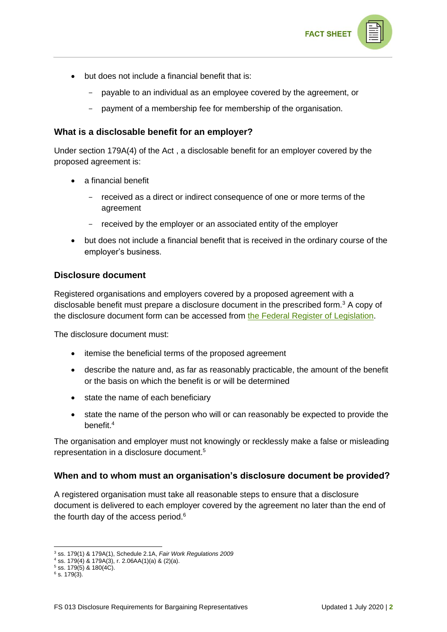

- but does not include a financial benefit that is:
	- payable to an individual as an employee covered by the agreement, or
	- payment of a membership fee for membership of the organisation.

### **What is a disclosable benefit for an employer?**

Under section 179A(4) of the Act , a disclosable benefit for an employer covered by the proposed agreement is:

- a financial benefit
	- received as a direct or indirect consequence of one or more terms of the agreement
	- received by the employer or an associated entity of the employer
- but does not include a financial benefit that is received in the ordinary course of the employer's business.

# **Disclosure document**

Registered organisations and employers covered by a proposed agreement with a disclosable benefit must prepare a disclosure document in the prescribed form.<sup>3</sup> A copy of the disclosure document form can be accessed from [the Federal Register of Legislation.](https://www.legislation.gov.au/Series/F2009L02356)

The disclosure document must:

- itemise the beneficial terms of the proposed agreement
- describe the nature and, as far as reasonably practicable, the amount of the benefit or the basis on which the benefit is or will be determined
- state the name of each beneficiary
- state the name of the person who will or can reasonably be expected to provide the benefit.<sup>4</sup>

The organisation and employer must not knowingly or recklessly make a false or misleading representation in a disclosure document.<sup>5</sup>

#### **When and to whom must an organisation's disclosure document be provided?**

A registered organisation must take all reasonable steps to ensure that a disclosure document is delivered to each employer covered by the agreement no later than the end of the fourth day of the access period.<sup>6</sup>

 $5$  ss. 179(5) & 180(4C).

<sup>3</sup> ss. 179(1) & 179A(1), Schedule 2.1A, *Fair Work Regulations 2009*

 $4$  ss. 179(4) & 179A(3), r. 2.06AA(1)(a) & (2)(a).

 $6$  s. 179(3).